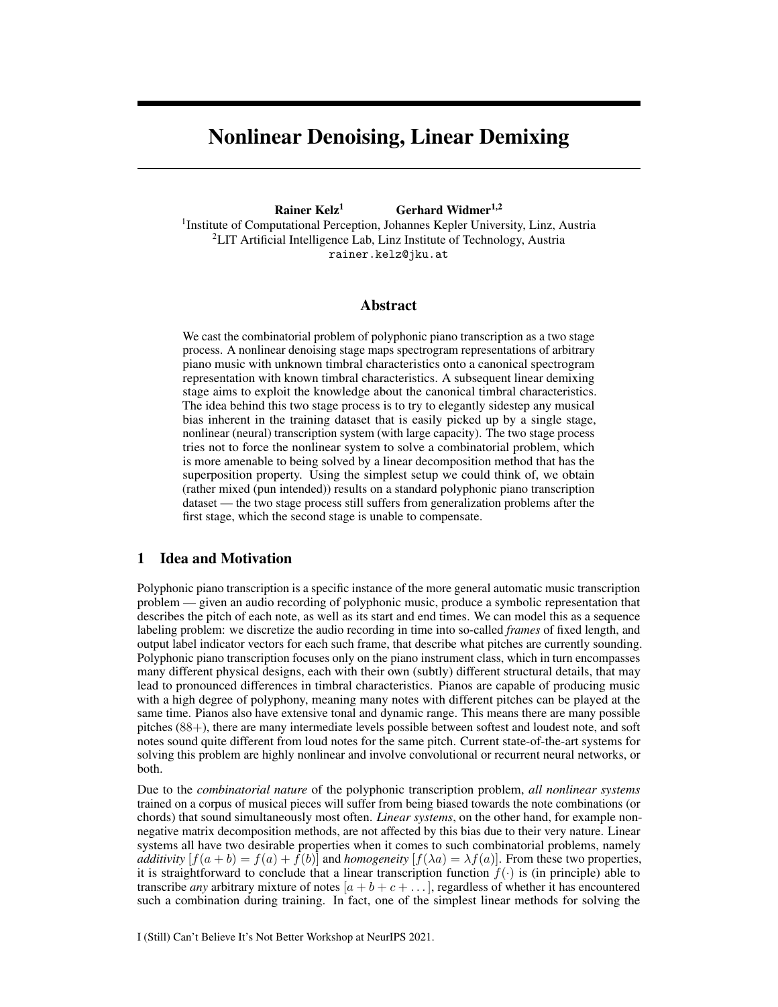# Nonlinear Denoising, Linear Demixing

Rainer Kelz<sup>1</sup> Gerhard Widmer<sup>1,2</sup>

<sup>1</sup>Institute of Computational Perception, Johannes Kepler University, Linz, Austria <sup>2</sup>LIT Artificial Intelligence Lab, Linz Institute of Technology, Austria rainer.kelz@jku.at

### Abstract

We cast the combinatorial problem of polyphonic piano transcription as a two stage process. A nonlinear denoising stage maps spectrogram representations of arbitrary piano music with unknown timbral characteristics onto a canonical spectrogram representation with known timbral characteristics. A subsequent linear demixing stage aims to exploit the knowledge about the canonical timbral characteristics. The idea behind this two stage process is to try to elegantly sidestep any musical bias inherent in the training dataset that is easily picked up by a single stage, nonlinear (neural) transcription system (with large capacity). The two stage process tries not to force the nonlinear system to solve a combinatorial problem, which is more amenable to being solved by a linear decomposition method that has the superposition property. Using the simplest setup we could think of, we obtain (rather mixed (pun intended)) results on a standard polyphonic piano transcription dataset — the two stage process still suffers from generalization problems after the first stage, which the second stage is unable to compensate.

## 1 Idea and Motivation

Polyphonic piano transcription is a specific instance of the more general automatic music transcription problem — given an audio recording of polyphonic music, produce a symbolic representation that describes the pitch of each note, as well as its start and end times. We can model this as a sequence labeling problem: we discretize the audio recording in time into so-called *frames* of fixed length, and output label indicator vectors for each such frame, that describe what pitches are currently sounding. Polyphonic piano transcription focuses only on the piano instrument class, which in turn encompasses many different physical designs, each with their own (subtly) different structural details, that may lead to pronounced differences in timbral characteristics. Pianos are capable of producing music with a high degree of polyphony, meaning many notes with different pitches can be played at the same time. Pianos also have extensive tonal and dynamic range. This means there are many possible pitches (88+), there are many intermediate levels possible between softest and loudest note, and soft notes sound quite different from loud notes for the same pitch. Current state-of-the-art systems for solving this problem are highly nonlinear and involve convolutional or recurrent neural networks, or both.

Due to the *combinatorial nature* of the polyphonic transcription problem, *all nonlinear systems* trained on a corpus of musical pieces will suffer from being biased towards the note combinations (or chords) that sound simultaneously most often. *Linear systems*, on the other hand, for example nonnegative matrix decomposition methods, are not affected by this bias due to their very nature. Linear systems all have two desirable properties when it comes to such combinatorial problems, namely *additivity*  $[f(a + b) = f(a) + f(b)]$  and *homogeneity*  $[f(\lambda a) = \lambda f(a)]$ . From these two properties, it is straightforward to conclude that a linear transcription function  $f(\cdot)$  is (in principle) able to transcribe *any* arbitrary mixture of notes  $[a + b + c + \dots]$ , regardless of whether it has encountered such a combination during training. In fact, one of the simplest linear methods for solving the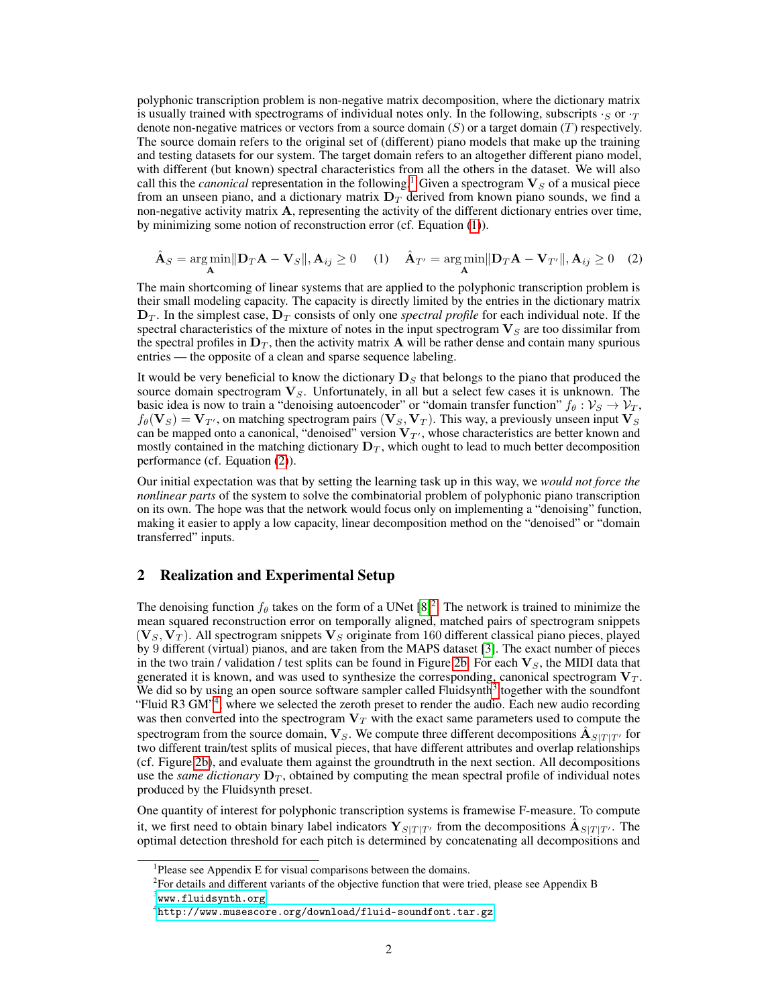polyphonic transcription problem is non-negative matrix decomposition, where the dictionary matrix is usually trained with spectrograms of individual notes only. In the following, subscripts  $\cdot_S$  or  $\cdot_T$ denote non-negative matrices or vectors from a source domain  $(S)$  or a target domain  $(T)$  respectively. The source domain refers to the original set of (different) piano models that make up the training and testing datasets for our system. The target domain refers to an altogether different piano model, with different (but known) spectral characteristics from all the others in the dataset. We will also call this the *canonical* representation in the following.<sup>[1](#page-1-0)</sup> Given a spectrogram  $V_S$  of a musical piece from an unseen piano, and a dictionary matrix  $D<sub>T</sub>$  derived from known piano sounds, we find a non-negative activity matrix  $\bf{A}$ , representing the activity of the different dictionary entries over time, by minimizing some notion of reconstruction error (cf. Equation [\(1\)](#page-1-1)).

<span id="page-1-2"></span><span id="page-1-1"></span>
$$
\hat{\mathbf{A}}_S = \underset{\mathbf{A}}{\arg\min} \|\mathbf{D}_T \mathbf{A} - \mathbf{V}_S\|, \mathbf{A}_{ij} \ge 0 \quad (1) \quad \hat{\mathbf{A}}_{T'} = \underset{\mathbf{A}}{\arg\min} \|\mathbf{D}_T \mathbf{A} - \mathbf{V}_{T'}\|, \mathbf{A}_{ij} \ge 0 \quad (2)
$$

The main shortcoming of linear systems that are applied to the polyphonic transcription problem is their small modeling capacity. The capacity is directly limited by the entries in the dictionary matrix  $D_T$ . In the simplest case,  $D_T$  consists of only one *spectral profile* for each individual note. If the spectral characteristics of the mixture of notes in the input spectrogram  $V<sub>S</sub>$  are too dissimilar from the spectral profiles in  $D_T$ , then the activity matrix A will be rather dense and contain many spurious entries — the opposite of a clean and sparse sequence labeling.

It would be very beneficial to know the dictionary  $\mathbf{D}_S$  that belongs to the piano that produced the source domain spectrogram  $V<sub>S</sub>$ . Unfortunately, in all but a select few cases it is unknown. The basic idea is now to train a "denoising autoencoder" or "domain transfer function"  $f_\theta : \mathcal{V}_S \to \mathcal{V}_T$ ,  $f_{\theta}(\mathbf{V}_S) = \mathbf{V}_{T}$ , on matching spectrogram pairs  $(\mathbf{V}_S, \mathbf{V}_T)$ . This way, a previously unseen input  $\mathbf{V}_S$ can be mapped onto a canonical, "denoised" version  $V_{T}$ , whose characteristics are better known and mostly contained in the matching dictionary  $D_T$ , which ought to lead to much better decomposition performance (cf. Equation [\(2\)](#page-1-2)).

Our initial expectation was that by setting the learning task up in this way, we *would not force the nonlinear parts* of the system to solve the combinatorial problem of polyphonic piano transcription on its own. The hope was that the network would focus only on implementing a "denoising" function, making it easier to apply a low capacity, linear decomposition method on the "denoised" or "domain transferred" inputs.

## 2 Realization and Experimental Setup

The denoising function  $f_{\theta}$  takes on the form of a UNet [\[8\]](#page-4-0)<sup>[2](#page-1-3)</sup>. The network is trained to minimize the mean squared reconstruction error on temporally aligned, matched pairs of spectrogram snippets  $(\mathbf{V}_S, \mathbf{V}_T)$ . All spectrogram snippets  $\mathbf{V}_S$  originate from 160 different classical piano pieces, played by 9 different (virtual) pianos, and are taken from the MAPS dataset [\[3\]](#page-4-1). The exact number of pieces in the two train / validation / test splits can be found in Figure [2b.](#page-2-0) For each  $V_s$ , the MIDI data that generated it is known, and was used to synthesize the corresponding, canonical spectrogram  $V_T$ . We did so by using an open source software sampler called Fluidsynth<sup>[3](#page-1-4)</sup> together with the soundfont "Fluid R3 GM"<sup>[4](#page-1-5)</sup>, where we selected the zeroth preset to render the audio. Each new audio recording was then converted into the spectrogram  $V_T$  with the exact same parameters used to compute the spectrogram from the source domain,  $V_S$ . We compute three different decompositions  $\mathbf{A}_{S|T|T'}$  for two different train/test splits of musical pieces, that have different attributes and overlap relationships (cf. Figure [2b\)](#page-2-0), and evaluate them against the groundtruth in the next section. All decompositions use the *same dictionary*  $D_T$ , obtained by computing the mean spectral profile of individual notes produced by the Fluidsynth preset.

One quantity of interest for polyphonic transcription systems is framewise F-measure. To compute it, we first need to obtain binary label indicators  $Y_{S|T|T'}$  from the decompositions  $\hat{A}_{S|T|T'}$ . The optimal detection threshold for each pitch is determined by concatenating all decompositions and

<span id="page-1-0"></span><sup>&</sup>lt;sup>1</sup>Please see Appendix E for visual comparisons between the domains.

<span id="page-1-3"></span> $2^2$ For details and different variants of the objective function that were tried, please see Appendix B

<span id="page-1-4"></span> $^3$ <www.fluidsynth.org>

<span id="page-1-5"></span> $^4$ <http://www.musescore.org/download/fluid-soundfont.tar.gz>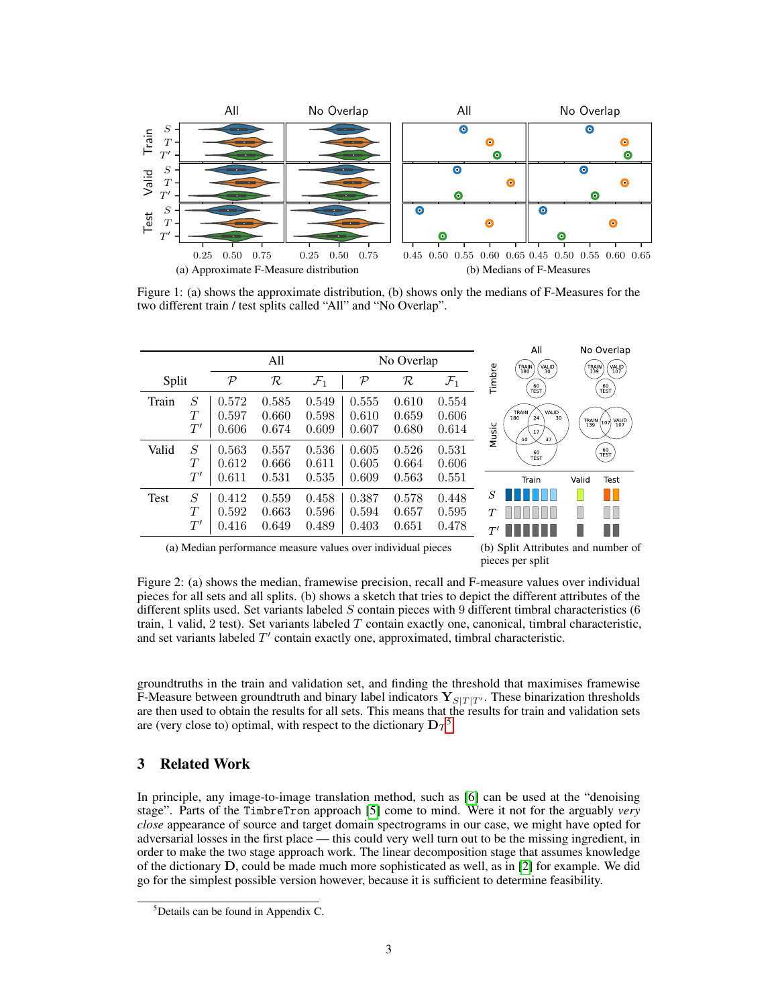<span id="page-2-2"></span>

<span id="page-2-3"></span>Figure 1: (a) shows the approximate distribution, (b) shows only the medians of F-Measures for the two different train / test splits called "All" and "No Overlap".

<span id="page-2-4"></span>

|       |              |            |          |                 |               |       |                 |                             | All                                      |              | No Overlap                                                            |
|-------|--------------|------------|----------|-----------------|---------------|-------|-----------------|-----------------------------|------------------------------------------|--------------|-----------------------------------------------------------------------|
|       |              | All        |          |                 | No Overlap    |       |                 |                             | VALID <sup>'</sup><br>TRAIN<br>180<br>30 | TRAIN<br>139 | VALID<br>107                                                          |
| Split |              | ${\cal P}$ | $\cal R$ | $\mathcal{F}_1$ | $\mathcal{P}$ | R     | $\mathcal{F}_1$ | Timbre                      | $\frac{60}{TEST}$                        |              | $\left(\begin{smallmatrix} 60 \ \text{TEST} \end{smallmatrix}\right)$ |
| Train | S            | 0.572      | 0.585    | 0.549           | 0.555         | 0.610 | 0.554           |                             |                                          |              |                                                                       |
|       | T            | 0.597      | 0.660    | 0.598           | 0.610         | 0.659 | 0.606           |                             | VALID<br>TRAIN<br>180<br>24<br>30        | TRAIN<br>139 | VALID<br>107<br>107                                                   |
|       | $T^{\prime}$ | 0.606      | 0.674    | 0.609           | 0.607         | 0.680 | 0.614           | Music                       | 17<br>50<br>37                           |              |                                                                       |
| Valid | S            | 0.563      | 0.557    | 0.536           | 0.605         | 0.526 | 0.531           |                             | 60                                       |              | $\left[\frac{60}{\text{TEST}}\right]$                                 |
|       | T            | 0.612      | 0.666    | 0.611           | 0.605         | 0.664 | 0.606           |                             | <b>TEST</b>                              |              |                                                                       |
|       | $T^\prime$   | 0.611      | 0.531    | 0.535           | 0.609         | 0.563 | 0.551           |                             | Train                                    | Valid        | Test                                                                  |
| Test  | S            | 0.412      | 0.559    | 0.458           | 0.387         | 0.578 | 0.448           | S                           |                                          |              | Ш                                                                     |
|       | T            | 0.592      | 0.663    | 0.596           | 0.594         | 0.657 | 0.595           | T                           |                                          |              | ПF                                                                    |
|       | $T^\prime$   | 0.416      | 0.649    | 0.489           | 0.403         | 0.651 | 0.478           | $T^{\prime}$                |                                          |              |                                                                       |
| .     |              | $\sim$     |          | $\sim$          |               | .     |                 | $\sim$ $\sim$ $\sim$ $\sim$ |                                          |              |                                                                       |

(a) Median performance measure values over individual pieces (b) Split Attributes and number of

<span id="page-2-0"></span>pieces per split

Figure 2: (a) shows the median, framewise precision, recall and F-measure values over individual pieces for all sets and all splits. (b) shows a sketch that tries to depict the different attributes of the different splits used. Set variants labeled S contain pieces with 9 different timbral characteristics (6) train, 1 valid, 2 test). Set variants labeled  $T$  contain exactly one, canonical, timbral characteristic, and set variants labeled  $T'$  contain exactly one, approximated, timbral characteristic.

groundtruths in the train and validation set, and finding the threshold that maximises framewise F-Measure between groundtruth and binary label indicators  ${\bf Y}_{S|T|T}$ . These binarization thresholds are then used to obtain the results for all sets. This means that the results for train and validation sets are (very close to) optimal, with respect to the dictionary  $D_T^5$  $D_T^5$ .

## 3 Related Work

In principle, any image-to-image translation method, such as [\[6\]](#page-4-2) can be used at the "denoising stage". Parts of the TimbreTron approach [\[5\]](#page-4-3) come to mind. Were it not for the arguably *very close* appearance of source and target domain spectrograms in our case, we might have opted for adversarial losses in the first place — this could very well turn out to be the missing ingredient, in order to make the two stage approach work. The linear decomposition stage that assumes knowledge of the dictionary D, could be made much more sophisticated as well, as in [\[2\]](#page-4-4) for example. We did go for the simplest possible version however, because it is sufficient to determine feasibility.

<span id="page-2-1"></span> $5$ Details can be found in Appendix C.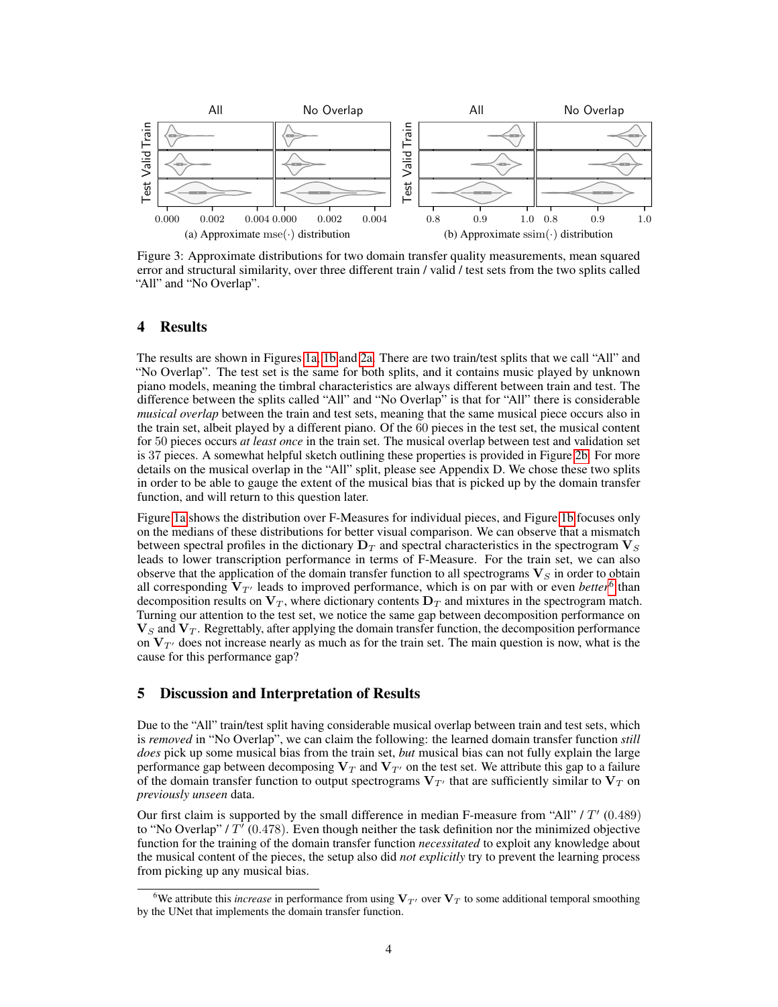<span id="page-3-1"></span>

<span id="page-3-2"></span>Figure 3: Approximate distributions for two domain transfer quality measurements, mean squared error and structural similarity, over three different train / valid / test sets from the two splits called "All" and "No Overlap".

## 4 Results

The results are shown in Figures [1a,](#page-2-2) [1b](#page-2-3) and [2a.](#page-2-4) There are two train/test splits that we call "All" and "No Overlap". The test set is the same for both splits, and it contains music played by unknown piano models, meaning the timbral characteristics are always different between train and test. The difference between the splits called "All" and "No Overlap" is that for "All" there is considerable *musical overlap* between the train and test sets, meaning that the same musical piece occurs also in the train set, albeit played by a different piano. Of the 60 pieces in the test set, the musical content for 50 pieces occurs *at least once* in the train set. The musical overlap between test and validation set is 37 pieces. A somewhat helpful sketch outlining these properties is provided in Figure [2b.](#page-2-0) For more details on the musical overlap in the "All" split, please see Appendix D. We chose these two splits in order to be able to gauge the extent of the musical bias that is picked up by the domain transfer function, and will return to this question later.

Figure [1a](#page-2-2) shows the distribution over F-Measures for individual pieces, and Figure [1b](#page-2-3) focuses only on the medians of these distributions for better visual comparison. We can observe that a mismatch between spectral profiles in the dictionary  $D_T$  and spectral characteristics in the spectrogram  $V_S$ leads to lower transcription performance in terms of F-Measure. For the train set, we can also observe that the application of the domain transfer function to all spectrograms  $V<sub>S</sub>$  in order to obtain all corresponding  $V_{T'}$  leads to improved performance, which is on par with or even *better*<sup>[6](#page-3-0)</sup> than decomposition results on  $V_T$ , where dictionary contents  $D_T$  and mixtures in the spectrogram match. Turning our attention to the test set, we notice the same gap between decomposition performance on  $V_S$  and  $V_T$ . Regrettably, after applying the domain transfer function, the decomposition performance on  $V_{T'}$  does not increase nearly as much as for the train set. The main question is now, what is the cause for this performance gap?

### 5 Discussion and Interpretation of Results

Due to the "All" train/test split having considerable musical overlap between train and test sets, which is *removed* in "No Overlap", we can claim the following: the learned domain transfer function *still does* pick up some musical bias from the train set, *but* musical bias can not fully explain the large performance gap between decomposing  $V_T$  and  $V_{T}$  on the test set. We attribute this gap to a failure of the domain transfer function to output spectrograms  $V_{T}$  that are sufficiently similar to  $V_T$  on *previously unseen* data.

Our first claim is supported by the small difference in median F-measure from "All" /  $T'$  (0.489) to "No Overlap" /  $T'$  (0.478). Even though neither the task definition nor the minimized objective function for the training of the domain transfer function *necessitated* to exploit any knowledge about the musical content of the pieces, the setup also did *not explicitly* try to prevent the learning process from picking up any musical bias.

<span id="page-3-0"></span><sup>&</sup>lt;sup>6</sup>We attribute this *increase* in performance from using  $V_T$  over  $V_T$  to some additional temporal smoothing by the UNet that implements the domain transfer function.